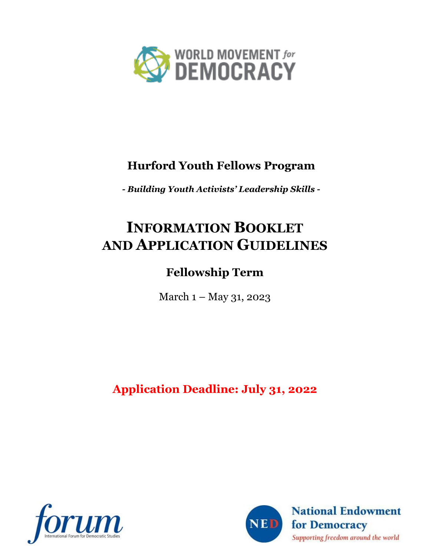

### **Hurford Youth Fellows Program**

*- Building Youth Activists' Leadership Skills -*

# **INFORMATION BOOKLET AND APPLICATION GUIDELINES**

## **Fellowship Term**

March 1 – May 31, 2023

**Application Deadline: July 31, 2022**



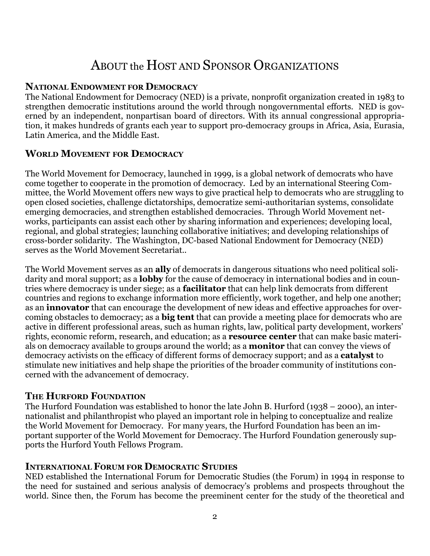## ABOUT the HOST AND SPONSOR ORGANIZATIONS

#### **NATIONAL ENDOWMENT FOR DEMOCRACY**

The National Endowment for Democracy (NED) is a private, nonprofit organization created in 1983 to strengthen democratic institutions around the world through nongovernmental efforts. NED is governed by an independent, nonpartisan board of directors. With its annual congressional appropriation, it makes hundreds of grants each year to support pro-democracy groups in Africa, Asia, Eurasia, Latin America, and the Middle East.

#### **WORLD MOVEMENT FOR DEMOCRACY**

The World Movement for Democracy, launched in 1999, is a global network of democrats who have come together to cooperate in the promotion of democracy. Led by an international Steering Committee, the World Movement offers new ways to give practical help to democrats who are struggling to open closed societies, challenge dictatorships, democratize semi-authoritarian systems, consolidate emerging democracies, and strengthen established democracies. Through World Movement networks, participants can assist each other by sharing information and experiences; developing local, regional, and global strategies; launching collaborative initiatives; and developing relationships of cross-border solidarity. The Washington, DC-based National Endowment for Democracy (NED) serves as the World Movement Secretariat..

The World Movement serves as an **ally** of democrats in dangerous situations who need political solidarity and moral support; as a **lobby** for the cause of democracy in international bodies and in countries where democracy is under siege; as a **facilitator** that can help link democrats from different countries and regions to exchange information more efficiently, work together, and help one another; as an **innovator** that can encourage the development of new ideas and effective approaches for overcoming obstacles to democracy; as a **big tent** that can provide a meeting place for democrats who are active in different professional areas, such as human rights, law, political party development, workers' rights, economic reform, research, and education; as a **resource center** that can make basic materials on democracy available to groups around the world; as a **monitor** that can convey the views of democracy activists on the efficacy of different forms of democracy support; and as a **catalyst** to stimulate new initiatives and help shape the priorities of the broader community of institutions concerned with the advancement of democracy.

#### **THE HURFORD FOUNDATION**

The Hurford Foundation was established to honor the late John B. Hurford (1938 – 2000), an internationalist and philanthropist who played an important role in helping to conceptualize and realize the World Movement for Democracy. For many years, the Hurford Foundation has been an important supporter of the World Movement for Democracy. The Hurford Foundation generously supports the Hurford Youth Fellows Program.

#### **INTERNATIONAL FORUM FOR DEMOCRATIC STUDIES**

NED established the International Forum for Democratic Studies (the Forum) in 1994 in response to the need for sustained and serious analysis of democracy's problems and prospects throughout the world. Since then, the Forum has become the preeminent center for the study of the theoretical and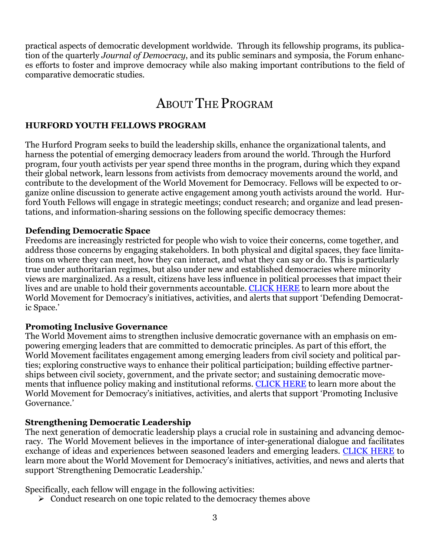practical aspects of democratic development worldwide. Through its fellowship programs, its publication of the quarterly *Journal of Democracy*, and its public seminars and symposia, the Forum enhances efforts to foster and improve democracy while also making important contributions to the field of comparative democratic studies.

## ABOUT THE PROGRAM

#### **HURFORD YOUTH FELLOWS PROGRAM**

The Hurford Program seeks to build the leadership skills, enhance the organizational talents, and harness the potential of emerging democracy leaders from around the world. Through the Hurford program, four youth activists per year spend three months in the program, during which they expand their global network, learn lessons from activists from democracy movements around the world, and contribute to the development of the World Movement for Democracy. Fellows will be expected to organize online discussion to generate active engagement among youth activists around the world. Hurford Youth Fellows will engage in strategic meetings; conduct research; and organize and lead presentations, and information-sharing sessions on the following specific democracy themes:

#### **Defending Democratic Space**

Freedoms are increasingly restricted for people who wish to voice their concerns, come together, and address those concerns by engaging stakeholders. In both physical and digital spaces, they face limitations on where they can meet, how they can interact, and what they can say or do. This is particularly true under authoritarian regimes, but also under new and established democracies where minority views are marginalized. As a result, citizens have less influence in political processes that impact their lives and are unable to hold their governments accountable. [CLICK HERE](https://www.movedemocracy.org/defending-democratic-space) to learn more about the World Movement for Democracy's initiatives, activities, and alerts that support 'Defending Democratic Space.'

#### **Promoting Inclusive Governance**

The World Movement aims to strengthen inclusive democratic governance with an emphasis on empowering emerging leaders that are committed to democratic principles. As part of this effort, the World Movement facilitates engagement among emerging leaders from civil society and political parties; exploring constructive ways to enhance their political participation; building effective partnerships between civil society, government, and the private sector; and sustaining democratic movements that influence policy making and institutional reforms. [CLICK HERE](https://www.movedemocracy.org/promoting-inclusive-governance) to learn more about the World Movement for Democracy's initiatives, activities, and alerts that support 'Promoting Inclusive Governance.'

#### **Strengthening Democratic Leadership**

The next generation of democratic leadership plays a crucial role in sustaining and advancing democracy. The World Movement believes in the importance of inter-generational dialogue and facilitates exchange of ideas and experiences between seasoned leaders and emerging leaders. [CLICK HERE](https://www.movedemocracy.org/strengthening-democratic-leadership) to learn more about the World Movement for Democracy's initiatives, activities, and news and alerts that support 'Strengthening Democratic Leadership.'

Specifically, each fellow will engage in the following activities:

 $\triangleright$  Conduct research on one topic related to the democracy themes above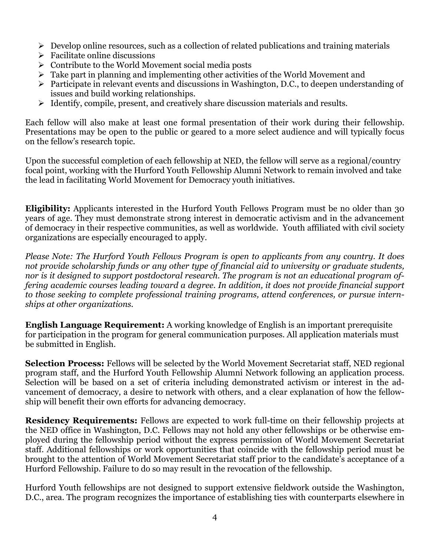- $\triangleright$  Develop online resources, such as a collection of related publications and training materials
- $\triangleright$  Facilitate online discussions
- $\triangleright$  Contribute to the World Movement social media posts
- $\triangleright$  Take part in planning and implementing other activities of the World Movement and
- $\triangleright$  Participate in relevant events and discussions in Washington, D.C., to deepen understanding of issues and build working relationships.
- $\triangleright$  Identify, compile, present, and creatively share discussion materials and results.

Each fellow will also make at least one formal presentation of their work during their fellowship. Presentations may be open to the public or geared to a more select audience and will typically focus on the fellow's research topic.

Upon the successful completion of each fellowship at NED, the fellow will serve as a regional/country focal point, working with the Hurford Youth Fellowship Alumni Network to remain involved and take the lead in facilitating World Movement for Democracy youth initiatives.

**Eligibility:** Applicants interested in the Hurford Youth Fellows Program must be no older than 30 years of age. They must demonstrate strong interest in democratic activism and in the advancement of democracy in their respective communities, as well as worldwide. Youth affiliated with civil society organizations are especially encouraged to apply.

*Please Note: The Hurford Youth Fellows Program is open to applicants from any country. It does not provide scholarship funds or any other type of financial aid to university or graduate students, nor is it designed to support postdoctoral research. The program is not an educational program offering academic courses leading toward a degree. In addition, it does not provide financial support to those seeking to complete professional training programs, attend conferences, or pursue internships at other organizations.*

**English Language Requirement:** A working knowledge of English is an important prerequisite for participation in the program for general communication purposes. All application materials must be submitted in English.

**Selection Process:** Fellows will be selected by the World Movement Secretariat staff, NED regional program staff, and the Hurford Youth Fellowship Alumni Network following an application process. Selection will be based on a set of criteria including demonstrated activism or interest in the advancement of democracy, a desire to network with others, and a clear explanation of how the fellowship will benefit their own efforts for advancing democracy.

**Residency Requirements:** Fellows are expected to work full-time on their fellowship projects at the NED office in Washington, D.C. Fellows may not hold any other fellowships or be otherwise employed during the fellowship period without the express permission of World Movement Secretariat staff. Additional fellowships or work opportunities that coincide with the fellowship period must be brought to the attention of World Movement Secretariat staff prior to the candidate's acceptance of a Hurford Fellowship. Failure to do so may result in the revocation of the fellowship.

Hurford Youth fellowships are not designed to support extensive fieldwork outside the Washington, D.C., area. The program recognizes the importance of establishing ties with counterparts elsewhere in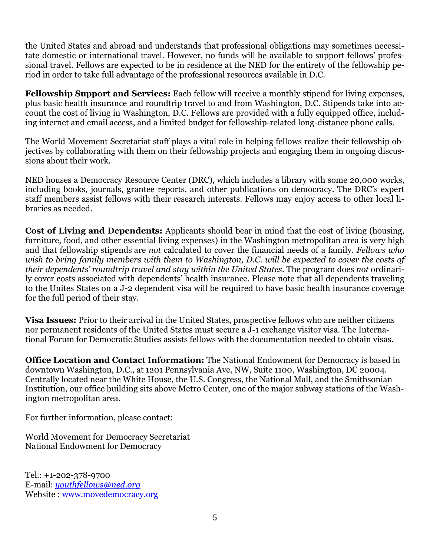the United States and abroad and understands that professional obligations may sometimes necessitate domestic or international travel. However, no funds will be available to support fellows' professional travel. Fellows are expected to be in residence at the NED for the entirety of the fellowship period in order to take full advantage of the professional resources available in D.C.

**Fellowship Support and Services:** Each fellow will receive a monthly stipend for living expenses, plus basic health insurance and roundtrip travel to and from Washington, D.C. Stipends take into account the cost of living in Washington, D.C. Fellows are provided with a fully equipped office, including internet and email access, and a limited budget for fellowship-related long-distance phone calls.

The World Movement Secretariat staff plays a vital role in helping fellows realize their fellowship objectives by collaborating with them on their fellowship projects and engaging them in ongoing discussions about their work.

NED houses a Democracy Resource Center (DRC), which includes a library with some 20,000 works, including books, journals, grantee reports, and other publications on democracy. The DRC's expert staff members assist fellows with their research interests. Fellows may enjoy access to other local libraries as needed.

**Cost of Living and Dependents:** Applicants should bear in mind that the cost of living (housing, furniture, food, and other essential living expenses) in the Washington metropolitan area is very high and that fellowship stipends are *not* calculated to cover the financial needs of a family. *Fellows who wish to bring family members with them to Washington, D.C. will be expected to cover the costs of their dependents' roundtrip travel and stay within the United States.* The program does *not* ordinarily cover costs associated with dependents' health insurance. Please note that all dependents traveling to the Unites States on a J-2 dependent visa will be required to have basic health insurance coverage for the full period of their stay.

**Visa Issues:** Prior to their arrival in the United States, prospective fellows who are neither citizens nor permanent residents of the United States must secure a J-1 exchange visitor visa. The International Forum for Democratic Studies assists fellows with the documentation needed to obtain visas.

**Office Location and Contact Information:** The National Endowment for Democracy is based in downtown Washington, D.C., at 1201 Pennsylvania Ave, NW, Suite 1100, Washington, DC 20004. Centrally located near the White House, the U.S. Congress, the National Mall, and the Smithsonian Institution, our office building sits above Metro Center, one of the major subway stations of the Washington metropolitan area.

For further information, please contact:

World Movement for Democracy Secretariat National Endowment for Democracy

Tel.: +1-202-378-9700 E-mail: *[youthfellows@ned.org](mailto:youthfellows@ned.org)*  Website : [www.movedemocracy.org](http://www.movedemocracy.org/)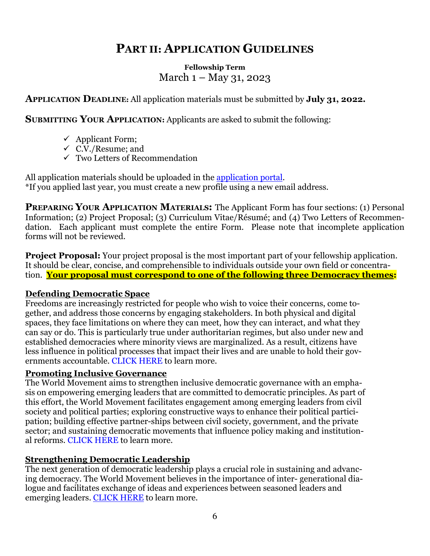### **PART II: APPLICATION GUIDELINES**

#### **Fellowship Term** March 1 – May 31, 2023

#### **APPLICATION DEADLINE:** All application materials must be submitted by **July 31, 2022.**

**SUBMITTING YOUR APPLICATION:** Applicants are asked to submit the following:

- $\checkmark$  Applicant Form;
- $\checkmark$  C.V./Resume; and
- $\checkmark$  Two Letters of Recommendation

All application materials should be uploaded in the [application portal.](https://www.nedfellowships.org/Start/Hurford) \*If you applied last year, you must create a new profile using a new email address.

**PREPARING YOUR APPLICATION MATERIALS:** The Applicant Form has four sections: (1) Personal Information; (2) Project Proposal; (3) Curriculum Vitae/Résumé; and (4) Two Letters of Recommendation. Each applicant must complete the entire Form. Please note that incomplete application forms will not be reviewed.

**Project Proposal:** Your project proposal is the most important part of your fellowship application. It should be clear, concise, and comprehensible to individuals outside your own field or concentration. **Your proposal must correspond to one of the following three Democracy themes:**

#### **Defending Democratic Space**

Freedoms are increasingly restricted for people who wish to voice their concerns, come together, and address those concerns by engaging stakeholders. In both physical and digital spaces, they face limitations on where they can meet, how they can interact, and what they can say or do. This is particularly true under authoritarian regimes, but also under new and established democracies where minority views are marginalized. As a result, citizens have less influence in political processes that impact their lives and are unable to hold their governments accountable. [CLICK HERE t](https://www.movedemocracy.org/defending-democratic-space)o learn more.

#### **Promoting Inclusive Governance**

The World Movement aims to strengthen inclusive democratic governance with an emphasis on empowering emerging leaders that are committed to democratic principles. As part of this effort, the World Movement facilitates engagement among emerging leaders from civil society and political parties; exploring constructive ways to enhance their political participation; building effective partner-ships between civil society, government, and the private sector; and sustaining democratic movements that influence policy making and institutional reforms. [CLICK HERE t](https://www.movedemocracy.org/promoting-inclusive-governance)o learn more.

#### **Strengthening Democratic Leadership**

The next generation of democratic leadership plays a crucial role in sustaining and advancing democracy. The World Movement believes in the importance of inter- generational dialogue and facilitates exchange of ideas and experiences between seasoned leaders and emerging leaders. CLICK [HERE](https://www.movedemocracy.org/strengthening-democratic-leadership) to learn more.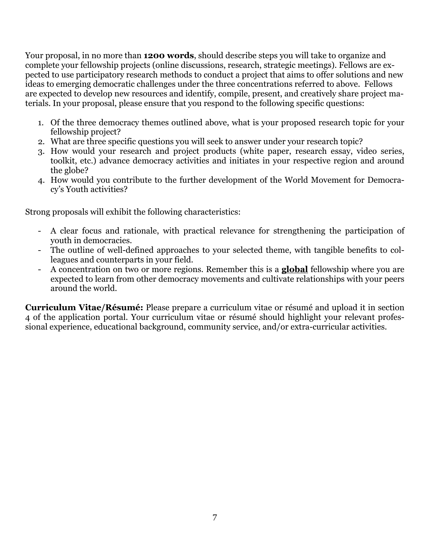Your proposal, in no more than **1200 words**, should describe steps you will take to organize and complete your fellowship projects (online discussions, research, strategic meetings). Fellows are expected to use participatory research methods to conduct a project that aims to offer solutions and new ideas to emerging democratic challenges under the three concentrations referred to above. Fellows are expected to develop new resources and identify, compile, present, and creatively share project materials. In your proposal, please ensure that you respond to the following specific questions:

- 1. Of the three democracy themes outlined above, what is your proposed research topic for your fellowship project?
- 2. What are three specific questions you will seek to answer under your research topic?
- 3. How would your research and project products (white paper, research essay, video series, toolkit, etc.) advance democracy activities and initiates in your respective region and around the globe?
- 4. How would you contribute to the further development of the World Movement for Democracy's Youth activities?

Strong proposals will exhibit the following characteristics:

- A clear focus and rationale, with practical relevance for strengthening the participation of youth in democracies.
- The outline of well-defined approaches to your selected theme, with tangible benefits to colleagues and counterparts in your field.
- A concentration on two or more regions. Remember this is a **global** fellowship where you are expected to learn from other democracy movements and cultivate relationships with your peers around the world.

**Curriculum Vitae/Résumé:** Please prepare a curriculum vitae or résumé and upload it in section 4 of the application portal. Your curriculum vitae or résumé should highlight your relevant professional experience, educational background, community service, and/or extra-curricular activities.